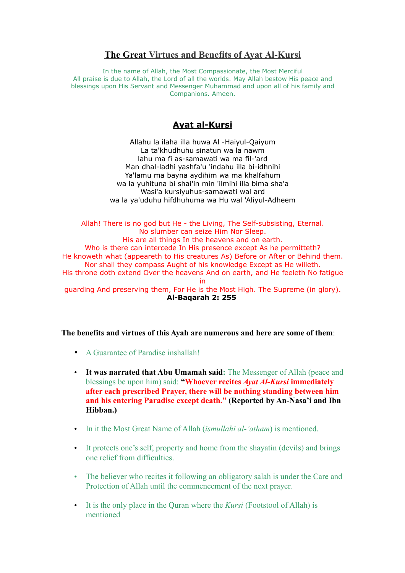# **The Great [Virtues and Benefits of Ayat](http://muslimminds.wordpress.com/2006/07/12/virtues-of-ayat-al-kursi/) Al-Kursi**

In the name of Allah, the Most Compassionate, the Most Merciful All praise is due to Allah, the Lord of all the worlds. May Allah bestow His peace and blessings upon His Servant and Messenger Muhammad and upon all of his family and Companions. Ameen.

# **Ayat al-Kursi**

Allahu la ilaha illa huwa Al -Haiyul-Qaiyum La ta'khudhuhu sinatun wa la nawm lahu ma fi as-samawati wa ma fil-'ard Man dhal-ladhi yashfa'u 'indahu illa bi-idhnihi Ya'lamu ma bayna aydihim wa ma khalfahum wa la yuhituna bi shai'in min 'ilmihi illa bima sha'a Wasi'a kursiyuhus-samawati wal ard wa la ya'uduhu hifdhuhuma wa Hu wal 'Aliyul-Adheem

Allah! There is no god but He - the Living, The Self-subsisting, Eternal. No slumber can seize Him Nor Sleep. His are all things In the heavens and on earth. Who is there can intercede In His presence except As he permitteth? He knoweth what (appeareth to His creatures As) Before or After or Behind them. Nor shall they compass Aught of his knowledge Except as He willeth. His throne doth extend Over the heavens And on earth, and He feeleth No fatigue in guarding And preserving them, For He is the Most High. The Supreme (in glory). **Al-Baqarah 2: 255**

# **The benefits and virtues of this Ayah are numerous and here are some of them**:

- A Guarantee of Paradise inshallah!
- **It was narrated that Abu Umamah said:** The Messenger of Allah (peace and blessings be upon him) said: **"Whoever recites** *Ayat Al-Kursi* **immediately after each prescribed Prayer, there will be nothing standing between him and his entering Paradise except death." (Reported by An-Nasa'i and Ibn Hibban.)**
- In it the Most Great Name of Allah (*ismullahi al-'atham*) is mentioned.
- It protects one's self, property and home from the shayatin (devils) and brings one relief from difficulties.
- The believer who recites it following an obligatory salah is under the Care and Protection of Allah until the commencement of the next prayer.
- It is the only place in the Quran where the *Kursi* (Footstool of Allah) is mentioned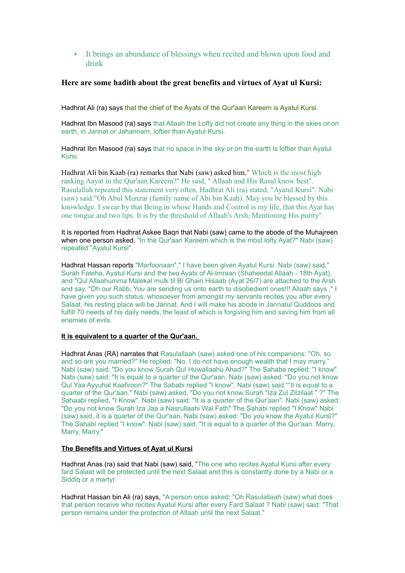# • It brings an abundance of blessings when recited and blown upon food and drink

## **Here are some hadith about the great benefits and virtues of Ayat ul Kursi:**

Hadhrat Ali (ra) says that the chief of the Ayats of the Qur'aan Kareem is Ayatul Kursi.

Hadhrat Ibn Masood (ra) says that Allaah the Lofty did not create any thing in the skies or on earth, in Jannat or Jahannam, loftier than Ayatul Kursi.

Hadhrat Ibn Masood (ra) says that no space in the sky or on the earth is loftier than Ayatul Kursi.

Hadhrat Ali bin Kaab (ra) remarks that Nabi (saw) asked him," Which is the most high ranking Aayat in the Qur'aan Kareem?" He said, " Allaah and His Rasul know best". Rasulallah repeated this statement very often. Hadhrat Ali (ra) stated, "Ayatul Kursi". Nabi (saw) said:"Oh Abul Munzar (family name of Abi bin Kaab). May you be blessed by this knowledge. I swear by that Being in whose Hands and Control is my life, that this Ayat has one tongue and two lips. It is by the threshold of Allaah's Arsh, Mentioning His purity".

It is reported from Hadhrat Askee Baqri that Nabi (saw) came to the abode of the Muhajreen when one person asked, "In the Qur'aan Kareem which is the most lofty Ayat?" Nabi (saw) repeated "Ayatul Kursi".

Hadhrat Hassan reports "Marfoonaan"," I have been given Ayatul Kursi. Nabi (saw) said," Surah Fateha, Ayatul Kursi and the two Ayats of Al-Imraan (Shaheedal Allaah - 18th Ayat), and "Qul Allaahumma Malekal mulk til Bi Ghairi Hisaab (Ayat 26/7) are attached to the Arsh and say, "Oh our Rabb, You are sending us onto earth to disobedient ones!!! Allaah says ," I have given you such status, whosoever from amongst my servants recites you after every Salaat, his resting place will be Jannat. And I will make his abode in Jannatul Quddoos and fulfill 70 needs of his daily needs, the least of which is forgiving him and saving him from all enemies of evils.

#### **It is equivalent to a quarter of the Qur'aan.**

Hadhrat Anas (RA) narrates that Rasulallaah (saw) asked one of his companions: "Oh, so and so are you married?" He replied: "No, I do not have enough wealth that I may marry." Nabi (saw) said: "Do you know Surah Qul Huwallaahu Ahad?" The Sahaba replied: "I know". Nabi (saw) said: "It is equal to a quarter of the Qur'aan. Nabi (saw) asked: "Do you not know Qul Yaa Ayyuhal Kaafiroon?" The Sababi replied "I know". Nabi (saw) said ""It is equal to a quarter of the Qur'aan." Nabi (saw) asked, "Do you not know Surah "Iza Zul Zilzilaat " ?" The Sahaabi replied, "I Know". Nabi (saw) said: "It is a quarter of the Qur'aan". Nabi (saw) asked: "Do you not know Surah Iza Jaa a Nasrullaahi Wal Fath" The Sahabi replied "I Know" Nabi (saw) said, it is a quarter of the Qur'aan. Nabi (saw) asked: "Do you know the Ayatul Kursi?" The Sahabi replied "I know". Nabi (saw) said, "It is equal to a quarter of the Qur'aan. Marry, Marry, Marry."

## **The Benefits and Virtues of Ayat ul Kursi**

Hadhrat Anas (ra) said that Nabi (saw) said, "The one who recites Ayatul Kursi after every fard Salaat will be protected until the next Salaat and this is constantly done by a Nabi or a Siddiq or a martyr.

Hadhrat Hassan bin Ali (ra) says, "A person once asked: "Oh Rasulallaah (saw) what does that person receive who recites Ayatul Kursi after every Fard Salaat ? Nabi (saw) said: "That person remains under the protection of Allaah until the next Salaat."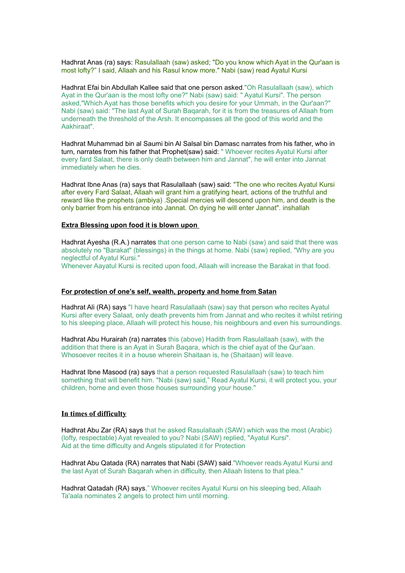Hadhrat Anas (ra) says: Rasulallaah (saw) asked; "Do you know which Ayat in the Qur'aan is most lofty?" I said, Allaah and his Rasul know more." Nabi (saw) read Ayatul Kursi

Hadhrat Efai bin Abdullah Kallee said that one person asked."Oh Rasulallaah (saw), which Ayat in the Qur'aan is the most lofty one?" Nabi (saw) said: " Ayatul Kursi". The person asked,"Which Ayat has those benefits which you desire for your Ummah, in the Qur'aan?" Nabi (saw) said: "The last Ayat of Surah Baqarah, for it is from the treasures of Allaah from underneath the threshold of the Arsh. It encompasses all the good of this world and the Aakhiraat".

Hadhrat Muhammad bin al Saumi bin Al Salsal bin Damasc narrates from his father, who in turn, narrates from his father that Prophet(saw) said: " Whoever recites Ayatul Kursi after every fard Salaat, there is only death between him and Jannat", he will enter into Jannat immediately when he dies.

Hadhrat Ibne Anas (ra) says that Rasulallaah (saw) said: "The one who recites Ayatul Kursi after every Fard Salaat, Allaah will grant him a gratifying heart, actions of the truthful and reward like the prophets (ambiya) .Special mercies will descend upon him, and death is the only barrier from his entrance into Jannat. On dying he will enter Jannat". inshallah

#### **Extra Blessing upon food it is blown upon**

Hadhrat Ayesha (R.A.) narrates that one person came to Nabi (saw) and said that there was absolutely no "Barakat" (blessings) in the things at home. Nabi (saw) replied, "Why are you neglectful of Ayatul Kursi."

Whenever Aayatul Kursi is recited upon food, Allaah will increase the Barakat in that food.

#### **For protection of one's self, wealth, property and home from Satan**

Hadhrat Ali (RA) says "I have heard Rasulallaah (saw) say that person who recites Ayatul Kursi after every Salaat, only death prevents him from Jannat and who recites it whilst retiring to his sleeping place, Allaah will protect his house, his neighbours and even his surroundings.

Hadhrat Abu Hurairah (ra) narrates this (above) Hadith from Rasulallaah (saw), with the addition that there is an Ayat in Surah Baqara, which is the chief ayat of the Qur'aan. Whosoever recites it in a house wherein Shaitaan is, he (Shaitaan) will leave.

Hadhrat Ibne Masood (ra) says that a person requested Rasulallaah (saw) to teach him something that will benefit him. "Nabi (saw) said," Read Ayatul Kursi, it will protect you, your children, home and even those houses surrounding your house."

### **In times of difficulty**

Hadhrat Abu Zar (RA) says that he asked Rasulallaah (SAW) which was the most (Arabic) (lofty, respectable) Ayat revealed to you? Nabi (SAW) replied, "Ayatul Kursi". Aid at the time difficulty and Angels stipulated it for Protection

Hadhrat Abu Qatada (RA) narrates that Nabi (SAW) said."Whoever reads Ayatul Kursi and the last Ayat of Surah Baqarah when in difficulty, then Allaah listens to that plea."

Hadhrat Qatadah (RA) says," Whoever recites Ayatul Kursi on his sleeping bed, Allaah Ta'aala nominates 2 angels to protect him until morning.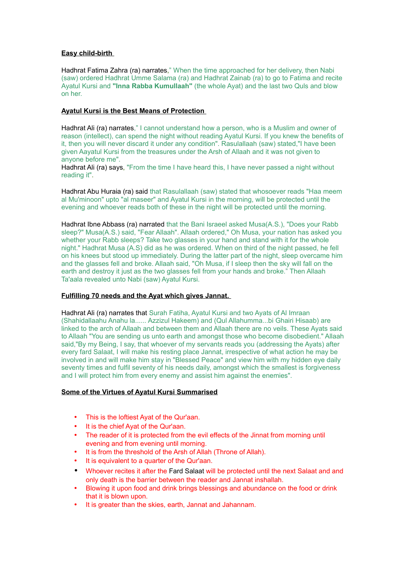# **Easy child-birth**

Hadhrat Fatima Zahra (ra) narrates," When the time approached for her delivery, then Nabi (saw) ordered Hadhrat Umme Salama (ra) and Hadhrat Zainab (ra) to go to Fatima and recite Ayatul Kursi and **"Inna Rabba Kumullaah"** (the whole Ayat) and the last two Quls and blow on her.

# **Ayatul Kursi is the Best Means of Protection**

Hadhrat Ali (ra) narrates," I cannot understand how a person, who is a Muslim and owner of reason (intellect), can spend the night without reading Ayatul Kursi. If you knew the benefits of it, then you will never discard it under any condition". Rasulallaah (saw) stated,"I have been given Aayatul Kursi from the treasures under the Arsh of Allaah and it was not given to anyone before me".

Hadhrat Ali (ra) says, "From the time I have heard this, I have never passed a night without reading it".

Hadhrat Abu Huraia (ra) said that Rasulallaah (saw) stated that whosoever reads "Haa meem al Mu'minoon" upto "al maseer" and Ayatul Kursi in the morning, will be protected until the evening and whoever reads both of these in the night will be protected until the morning.

Hadhrat Ibne Abbass (ra) narrated that the Bani Israeel asked Musa(A.S.), "Does your Rabb sleep?" Musa(A.S.) said, "Fear Allaah". Allaah ordered," Oh Musa, your nation has asked you whether your Rabb sleeps? Take two glasses in your hand and stand with it for the whole night." Hadhrat Musa (A.S) did as he was ordered. When on third of the night passed, he fell on his knees but stood up immediately. During the latter part of the night, sleep overcame him and the glasses fell and broke. Allaah said, "Oh Musa, if I sleep then the sky will fall on the earth and destroy it just as the two glasses fell from your hands and broke." Then Allaah Ta'aala revealed unto Nabi (saw) Ayatul Kursi.

## **Fulfilling 70 needs and the Ayat which gives Jannat.**

Hadhrat Ali (ra) narrates that Surah Fatiha, Ayatul Kursi and two Ayats of Al Imraan (Shahidallaahu Anahu la...... Azzizul Hakeem) and (Qul Allahumma...bi Ghairi Hisaab) are linked to the arch of Allaah and between them and Allaah there are no veils. These Ayats said to Allaah "You are sending us unto earth and amongst those who become disobedient." Allaah said,"By my Being, I say, that whoever of my servants reads you (addressing the Ayats) after every fard Salaat, I will make his resting place Jannat, irrespective of what action he may be involved in and will make him stay in "Blessed Peace" and view him with my hidden eye daily seventy times and fulfil seventy of his needs daily, amongst which the smallest is forgiveness and I will protect him from every enemy and assist him against the enemies".

# **Some of the Virtues of Ayatul Kursi Summarised**

- This is the loftiest Ayat of the Qur'aan.
- It is the chief Ayat of the Qur'aan.
- The reader of it is protected from the evil effects of the Jinnat from morning until evening and from evening until morning.
- It is from the threshold of the Arsh of Allah (Throne of Allah).
- It is equivalent to a quarter of the Qur'aan.
- Whoever recites it after the Fard Salaat will be protected until the next Salaat and and only death is the barrier between the reader and Jannat inshallah.
- Blowing it upon food and drink brings blessings and abundance on the food or drink that it is blown upon.
- It is greater than the skies, earth, Jannat and Jahannam.